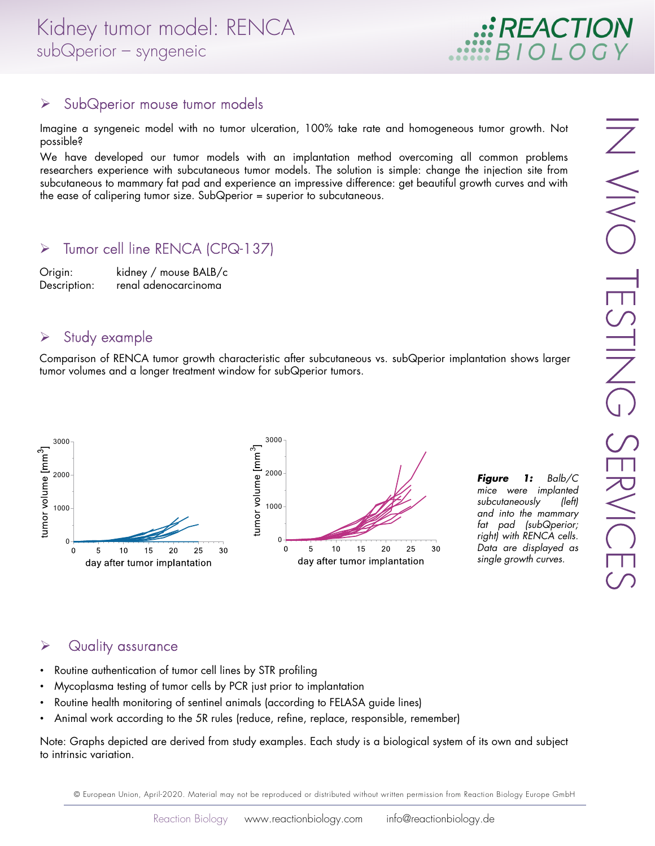

#### $\triangleright$  SubQperior mouse tumor models

Imagine a syngeneic model with no tumor ulceration, 100% take rate and homogeneous tumor growth. Not possible?

We have developed our tumor models with an implantation method overcoming all common problems researchers experience with subcutaneous tumor models. The solution is simple: change the injection site from subcutaneous to mammary fat pad and experience an impressive difference: get beautiful growth curves and with the ease of calipering tumor size. SubQperior = superior to subcutaneous.

## > Tumor cell line RENCA (CPQ-137)

Origin: kidney / mouse BALB/c Description: renal adenocarcinoma

#### $\triangleright$  Study example

Comparison of RENCA tumor growth characteristic after subcutaneous vs. subQperior implantation shows larger tumor volumes and a longer treatment window for subQperior tumors.



*Figure 1:* Balb/C mice were implanted subcutaneously (left) and into the mammary fat pad (subQperior; right) with RENCA cells. Data are displayed as single growth curves.

## **▶** Quality assurance

- Routine authentication of tumor cell lines by STR profiling
- Mycoplasma testing of tumor cells by PCR just prior to implantation
- Routine health monitoring of sentinel animals (according to FELASA guide lines)
- Animal work according to the 5R rules (reduce, refine, replace, responsible, remember)

Note: Graphs depicted are derived from study examples. Each study is a biological system of its own and subject to intrinsic variation.

© European Union, April-2020. Material may not be reproduced or distributed without written permission from Reaction Biology Europe GmbH